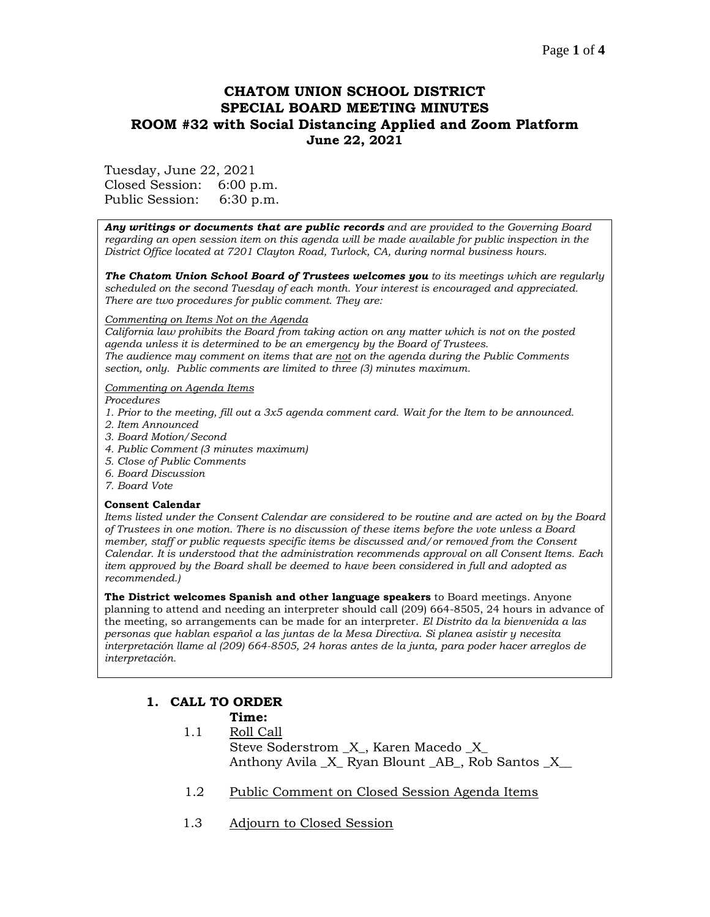#### Page **1** of **4**

# **CHATOM UNION SCHOOL DISTRICT SPECIAL BOARD MEETING MINUTES ROOM #32 with Social Distancing Applied and Zoom Platform June 22, 2021**

Tuesday, June 22, 2021 Closed Session: 6:00 p.m. Public Session: 6:30 p.m.

*Any writings or documents that are public records and are provided to the Governing Board regarding an open session item on this agenda will be made available for public inspection in the District Office located at 7201 Clayton Road, Turlock, CA, during normal business hours.*

*The Chatom Union School Board of Trustees welcomes you to its meetings which are regularly scheduled on the second Tuesday of each month. Your interest is encouraged and appreciated. There are two procedures for public comment. They are:*

#### *Commenting on Items Not on the Agenda*

*California law prohibits the Board from taking action on any matter which is not on the posted agenda unless it is determined to be an emergency by the Board of Trustees. The audience may comment on items that are not on the agenda during the Public Comments section, only. Public comments are limited to three (3) minutes maximum.*

#### *Commenting on Agenda Items*

*Procedures* 

- *1. Prior to the meeting, fill out a 3x5 agenda comment card. Wait for the Item to be announced.*
- *2. Item Announced*
- *3. Board Motion/Second*
- *4. Public Comment (3 minutes maximum)*
- *5. Close of Public Comments*
- *6. Board Discussion*
- *7. Board Vote*

#### **Consent Calendar**

*Items listed under the Consent Calendar are considered to be routine and are acted on by the Board of Trustees in one motion. There is no discussion of these items before the vote unless a Board member, staff or public requests specific items be discussed and/or removed from the Consent Calendar. It is understood that the administration recommends approval on all Consent Items. Each item approved by the Board shall be deemed to have been considered in full and adopted as recommended.)*

**The District welcomes Spanish and other language speakers** to Board meetings. Anyone planning to attend and needing an interpreter should call (209) 664-8505, 24 hours in advance of the meeting, so arrangements can be made for an interpreter. *El Distrito da la bienvenida a las personas que hablan español a las juntas de la Mesa Directiva. Si planea asistir y necesita interpretación llame al (209) 664-8505, 24 horas antes de la junta, para poder hacer arreglos de interpretación.*

# **1. CALL TO ORDER**

#### **Time:**

- 1.1 Roll Call Steve Soderstrom  $X$ , Karen Macedo  $X$ Anthony Avila \_X\_ Ryan Blount \_AB\_, Rob Santos \_X\_\_
- 1.2 Public Comment on Closed Session Agenda Items
- 1.3 Adjourn to Closed Session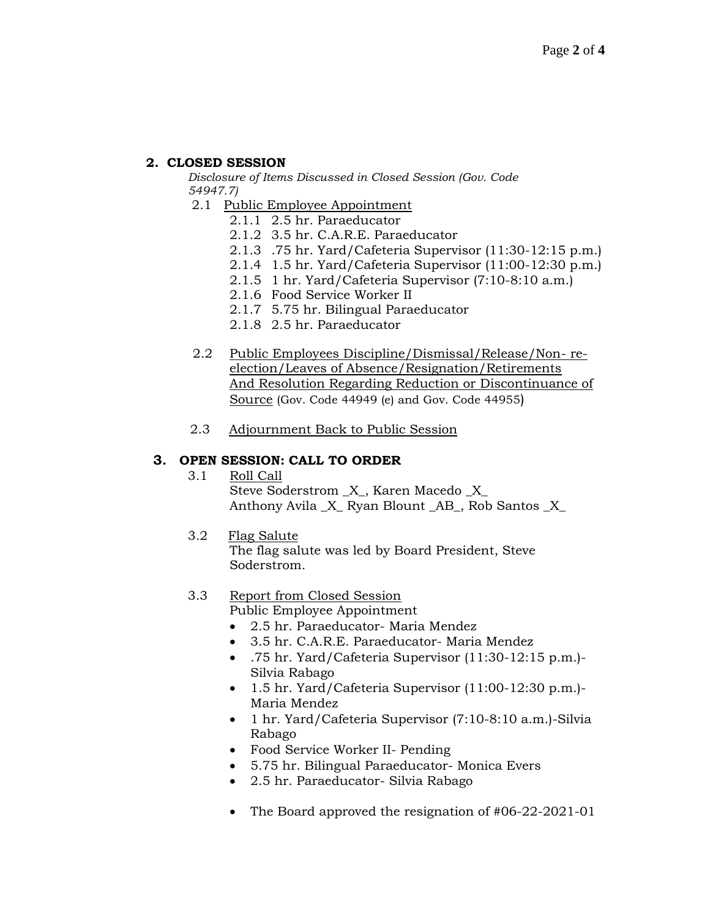## **2. CLOSED SESSION**

*Disclosure of Items Discussed in Closed Session (Gov. Code 54947.7)*

- 2.1 Public Employee Appointment
	- 2.1.1 2.5 hr. Paraeducator
	- 2.1.2 3.5 hr. C.A.R.E. Paraeducator
	- 2.1.3 .75 hr. Yard/Cafeteria Supervisor (11:30-12:15 p.m.)
	- 2.1.4 1.5 hr. Yard/Cafeteria Supervisor (11:00-12:30 p.m.)
	- 2.1.5 1 hr. Yard/Cafeteria Supervisor (7:10-8:10 a.m.)
	- 2.1.6 Food Service Worker II
	- 2.1.7 5.75 hr. Bilingual Paraeducator
	- 2.1.8 2.5 hr. Paraeducator
- 2.2 Public Employees Discipline/Dismissal/Release/Non- reelection/Leaves of Absence/Resignation/Retirements And Resolution Regarding Reduction or Discontinuance of Source (Gov. Code 44949 (e) and Gov. Code 44955)
- 2.3 Adjournment Back to Public Session

## **3. OPEN SESSION: CALL TO ORDER**

- 3.1 Roll Call Steve Soderstrom  $X$ , Karen Macedo  $X$ Anthony Avila \_X\_ Ryan Blount \_AB\_, Rob Santos X
- 3.2 Flag Salute

The flag salute was led by Board President, Steve Soderstrom.

# 3.3 Report from Closed Session

Public Employee Appointment

- 2.5 hr. Paraeducator- Maria Mendez
- 3.5 hr. C.A.R.E. Paraeducator- Maria Mendez
- .75 hr. Yard/Cafeteria Supervisor (11:30-12:15 p.m.)- Silvia Rabago
- 1.5 hr. Yard/Cafeteria Supervisor (11:00-12:30 p.m.)- Maria Mendez
- 1 hr. Yard/Cafeteria Supervisor (7:10-8:10 a.m.)-Silvia Rabago
- Food Service Worker II- Pending
- 5.75 hr. Bilingual Paraeducator- Monica Evers
- 2.5 hr. Paraeducator- Silvia Rabago
- The Board approved the resignation of #06-22-2021-01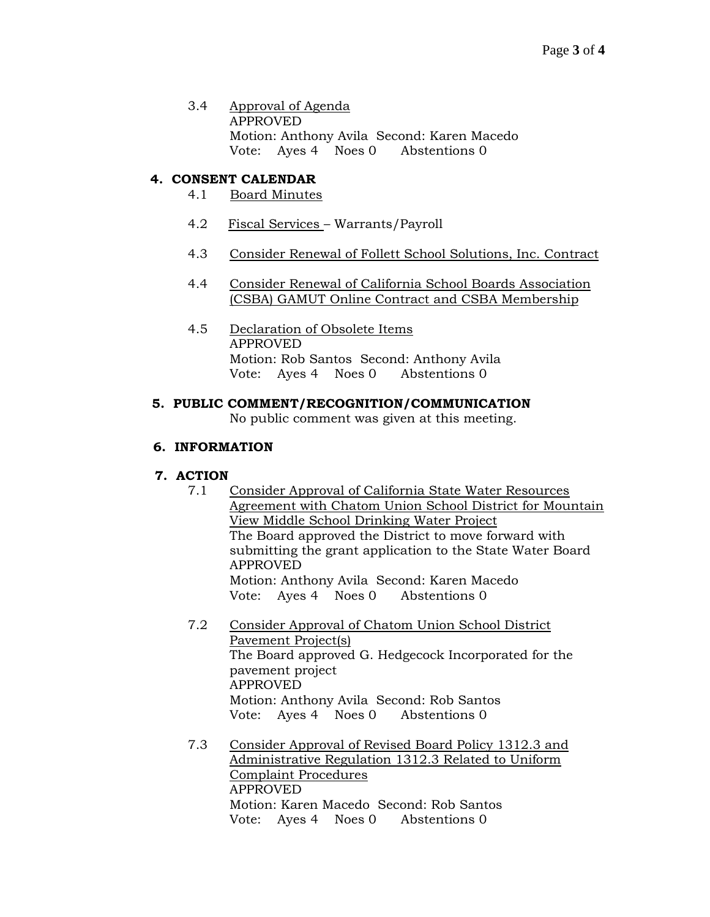3.4 Approval of Agenda APPROVED Motion: Anthony Avila Second: Karen Macedo Vote: Ayes 4 Noes 0 Abstentions 0

## **4. CONSENT CALENDAR**

- 4.1 Board Minutes
- 4.2 Fiscal Services Warrants/Payroll
- 4.3 Consider Renewal of Follett School Solutions, Inc. Contract
- 4.4 Consider Renewal of California School Boards Association (CSBA) GAMUT Online Contract and CSBA Membership
- 4.5 Declaration of Obsolete Items APPROVED Motion: Rob Santos Second: Anthony Avila Vote: Ayes 4 Noes 0 Abstentions 0

### **5. PUBLIC COMMENT/RECOGNITION/COMMUNICATION**

No public comment was given at this meeting.

### **6. INFORMATION**

#### **7. ACTION**

- 7.1 Consider Approval of California State Water Resources Agreement with Chatom Union School District for Mountain View Middle School Drinking Water Project The Board approved the District to move forward with submitting the grant application to the State Water Board APPROVED Motion: Anthony Avila Second: Karen Macedo Vote: Ayes 4 Noes 0 Abstentions 0
- 7.2 Consider Approval of Chatom Union School District Pavement Project(s) The Board approved G. Hedgecock Incorporated for the pavement project APPROVED Motion: Anthony Avila Second: Rob Santos Vote: Ayes 4 Noes 0 Abstentions 0
- 7.3 Consider Approval of Revised Board Policy 1312.3 and Administrative Regulation 1312.3 Related to Uniform Complaint Procedures APPROVED Motion: Karen Macedo Second: Rob Santos Vote: Ayes 4 Noes 0 Abstentions 0